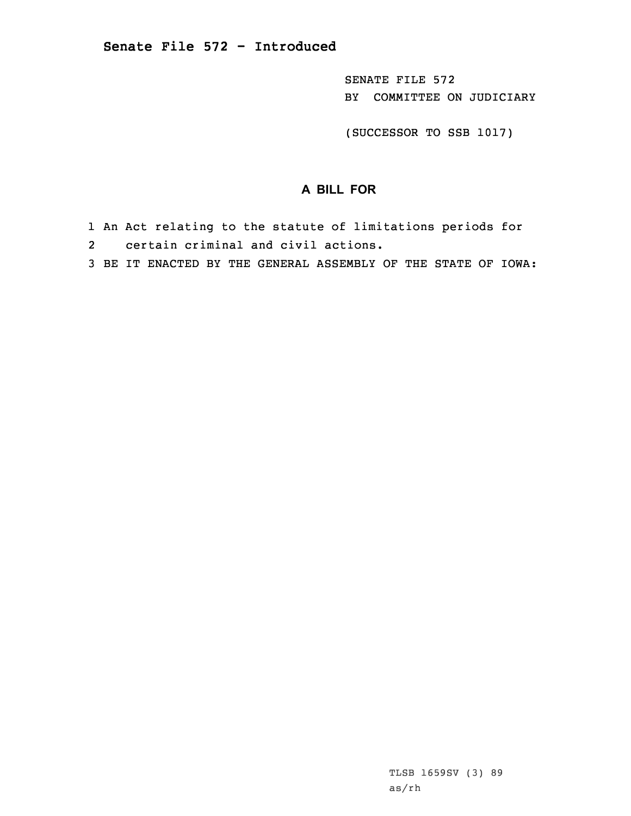SENATE FILE 572 BY COMMITTEE ON JUDICIARY

(SUCCESSOR TO SSB 1017)

## **A BILL FOR**

- 1 An Act relating to the statute of limitations periods for 2 certain criminal and civil actions.
- 3 BE IT ENACTED BY THE GENERAL ASSEMBLY OF THE STATE OF IOWA: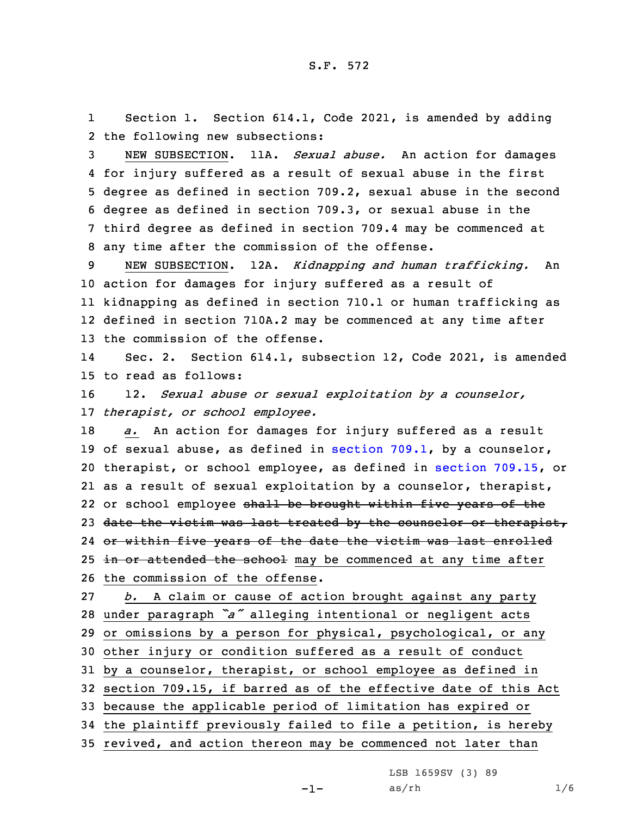1 Section 1. Section 614.1, Code 2021, is amended by adding 2 the following new subsections:

 NEW SUBSECTION. 11A. *Sexual abuse.* An action for damages for injury suffered as <sup>a</sup> result of sexual abuse in the first degree as defined in section 709.2, sexual abuse in the second degree as defined in section 709.3, or sexual abuse in the third degree as defined in section 709.4 may be commenced at any time after the commission of the offense.

 NEW SUBSECTION. 12A. *Kidnapping and human trafficking.* An action for damages for injury suffered as <sup>a</sup> result of kidnapping as defined in section 710.1 or human trafficking as defined in section 710A.2 may be commenced at any time after the commission of the offense.

14 Sec. 2. Section 614.1, subsection 12, Code 2021, is amended 15 to read as follows:

16 12. *Sexual abuse or sexual exploitation by <sup>a</sup> counselor,* 17 *therapist, or school employee.*

 *a.* An action for damages for injury suffered as <sup>a</sup> result of sexual abuse, as defined in [section](https://www.legis.iowa.gov/docs/code/2021/709.1.pdf) 709.1, by <sup>a</sup> counselor, therapist, or school employee, as defined in section [709.15](https://www.legis.iowa.gov/docs/code/2021/709.15.pdf), or as <sup>a</sup> result of sexual exploitation by <sup>a</sup> counselor, therapist, 22 or school employee <del>shall be brought within five years of th</del>e 23 date the victim was last treated by the counselor or therapist, or within five years of the date the victim was last enrolled 25 in or attended the school may be commenced at any time after the commission of the offense.

 *b.* <sup>A</sup> claim or cause of action brought against any party under paragraph *"a"* alleging intentional or negligent acts or omissions by <sup>a</sup> person for physical, psychological, or any other injury or condition suffered as <sup>a</sup> result of conduct by <sup>a</sup> counselor, therapist, or school employee as defined in section 709.15, if barred as of the effective date of this Act because the applicable period of limitation has expired or the plaintiff previously failed to file <sup>a</sup> petition, is hereby revived, and action thereon may be commenced not later than

LSB 1659SV (3) 89

 $as/rh$   $1/6$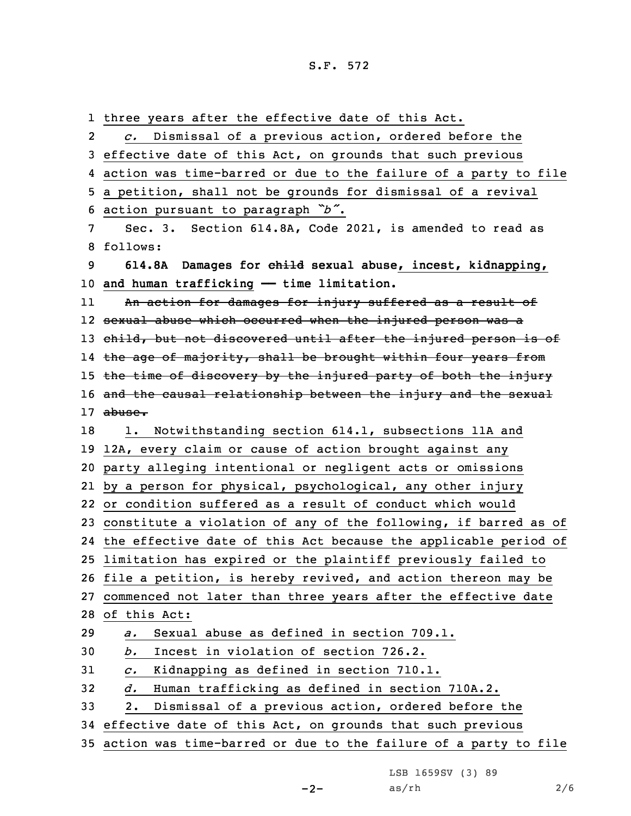three years after the effective date of this Act. 2 *c.* Dismissal of <sup>a</sup> previous action, ordered before the effective date of this Act, on grounds that such previous action was time-barred or due to the failure of <sup>a</sup> party to file <sup>a</sup> petition, shall not be grounds for dismissal of <sup>a</sup> revival action pursuant to paragraph *"b"*. Sec. 3. Section 614.8A, Code 2021, is amended to read as 8 follows: **614.8A Damages for child sexual abuse, incest, kidnapping, and human trafficking —— time limitation.** 11 An action for damages for injury suffered as <sup>a</sup> result of sexual abuse which occurred when the injured person was <sup>a</sup> 13 child, but not discovered until after the injured person is of l4 <del>the age of majority, shall be brought within four years from</del> 15 the time of discovery by the injured party of both the injury 16 and the causal relationship between the injury and the sexual 17 abuse. 18 1. Notwithstanding section 614.1, subsections 11A and 12A, every claim or cause of action brought against any party alleging intentional or negligent acts or omissions by <sup>a</sup> person for physical, psychological, any other injury or condition suffered as <sup>a</sup> result of conduct which would constitute <sup>a</sup> violation of any of the following, if barred as of the effective date of this Act because the applicable period of limitation has expired or the plaintiff previously failed to file <sup>a</sup> petition, is hereby revived, and action thereon may be commenced not later than three years after the effective date of this Act: *a.* Sexual abuse as defined in section 709.1. *b.* Incest in violation of section 726.2. *c.* Kidnapping as defined in section 710.1. *d.* Human trafficking as defined in section 710A.2. 2. Dismissal of <sup>a</sup> previous action, ordered before the effective date of this Act, on grounds that such previous action was time-barred or due to the failure of <sup>a</sup> party to file

LSB 1659SV (3) 89

 $-2-$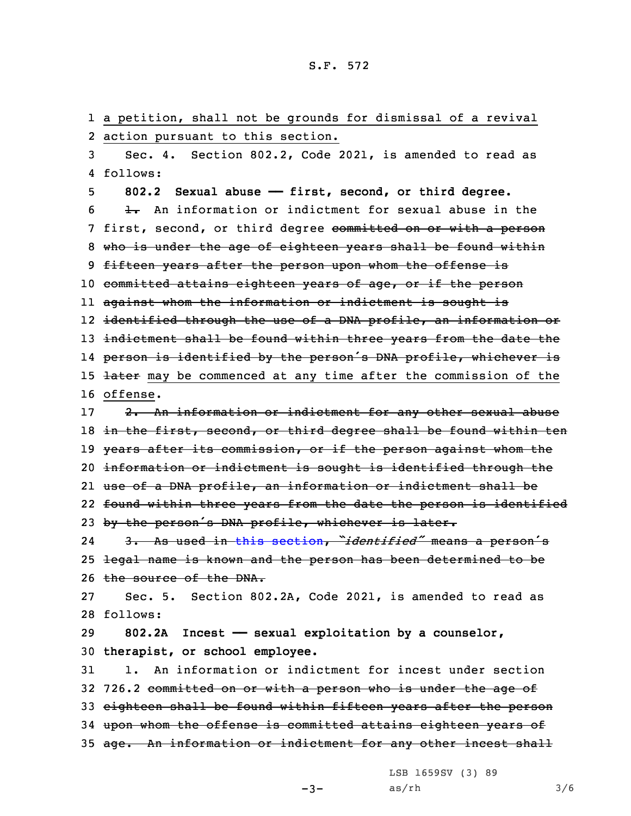1 <sup>a</sup> petition, shall not be grounds for dismissal of <sup>a</sup> revival 2 action pursuant to this section. 3 Sec. 4. Section 802.2, Code 2021, is amended to read as 4 follows: 5 **802.2 Sexual abuse —— first, second, or third degree.**  $6$   $\rightarrow$  An information or indictment for sexual abuse in the 7 first, second, or third degree committed on or with a person 8 who is under the age of eighteen years shall be found within 9 fifteen years after the person upon whom the offense is 10 committed attains eighteen years of age, or if the person 11 against whom the information or indictment is sought is 12 identified through the use of <sup>a</sup> DNA profile, an information or 13 indictment shall be found within three years from the date the 14 person is identified by the person's DNA profile, whichever is 15 <del>later</del> may be commenced at any time after the commission of the 16 offense. 17 2. An information or indictment for any other sexual abuse 18 in the first, second, or third degree shall be found within ten 19 years after its commission, or if the person against whom the 20 information or indictment is sought is identified through the 21 use of <sup>a</sup> DNA profile, an information or indictment shall be 22 found within three years from the date the person is identified 23 by the person's DNA profile, whichever is later. 24 3. As used in this [section](https://www.legis.iowa.gov/docs/code/2021/802.2.pdf), *"identified"* means <sup>a</sup> person's 25 legal name is known and the person has been determined to be 26 the source of the DNA. 27 Sec. 5. Section 802.2A, Code 2021, is amended to read as 28 follows: 29 **802.2A Incest —— sexual exploitation by <sup>a</sup> counselor,** 30 **therapist, or school employee.** 31 1. An information or indictment for incest under section 32 726.2 committed on or with <sup>a</sup> person who is under the age of 33 eighteen shall be found within fifteen years after the person 34 upon whom the offense is committed attains eighteen years of 35 age. An information or indictment for any other incest shall

LSB 1659SV (3) 89

 $-3-$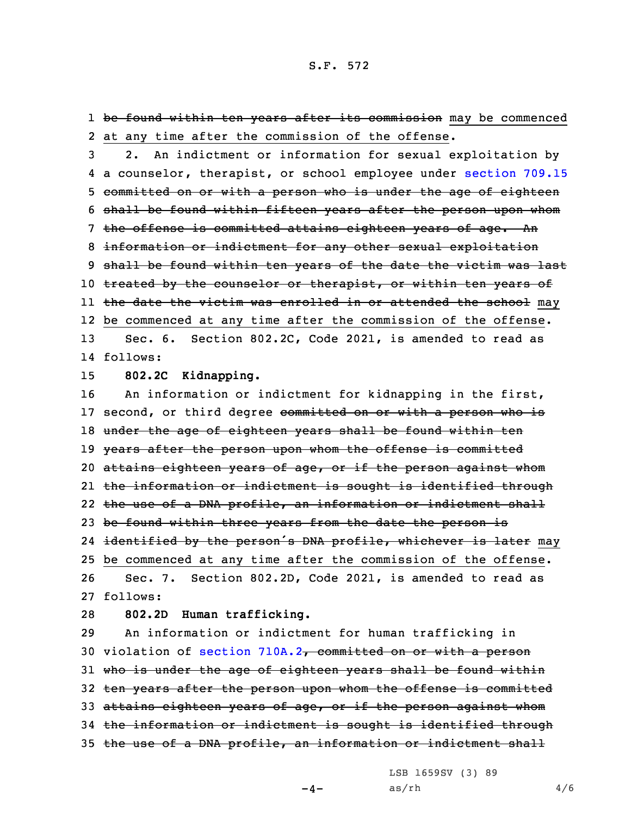1 <del>be found within ten years after its commission</del> may be commenced 2 at any time after the commission of the offense.

 2. An indictment or information for sexual exploitation by <sup>a</sup> counselor, therapist, or school employee under [section](https://www.legis.iowa.gov/docs/code/2021/709.15.pdf) 709.15 committed on or with <sup>a</sup> person who is under the age of eighteen shall be found within fifteen years after the person upon whom 7 the offense is committed attains eighteen years of age. An information or indictment for any other sexual exploitation shall be found within ten years of the date the victim was last 10 treated by the counselor or therapist, or within ten years of ll <del>the date the victim was enrolled in or attended the school</del> may be commenced at any time after the commission of the offense. Sec. 6. Section 802.2C, Code 2021, is amended to read as 14 follows:

15 **802.2C Kidnapping.**

16 An information or indictment for kidnapping in the first, 17 second, or third degree committed on or with a person who is 18 under the age of eighteen years shall be found within ten 19 years after the person upon whom the offense is committed 20 attains eighteen years of age, or if the person against whom 21 the information or indictment is sought is identified through 22 the use of a DNA profile, an information or indictment shall 23 be found within three years from the date the person is 24 i<del>dentified by the person's DNA profile, whichever is later</del> may 25 be commenced at any time after the commission of the offense. 26 Sec. 7. Section 802.2D, Code 2021, is amended to read as 27 follows:

28 **802.2D Human trafficking.**

29 An information or indictment for human trafficking in 30 violation of section [710A.2](https://www.legis.iowa.gov/docs/code/2021/710A.2.pdf), committed on or with a person 31 who is under the age of eighteen years shall be found within 32 ten years after the person upon whom the offense is committed 33 attains eighteen years of age, or if the person against whom 34 the information or indictment is sought is identified through 35 the use of a DNA profile, an information or indictment shall

LSB 1659SV (3) 89

 $-4-$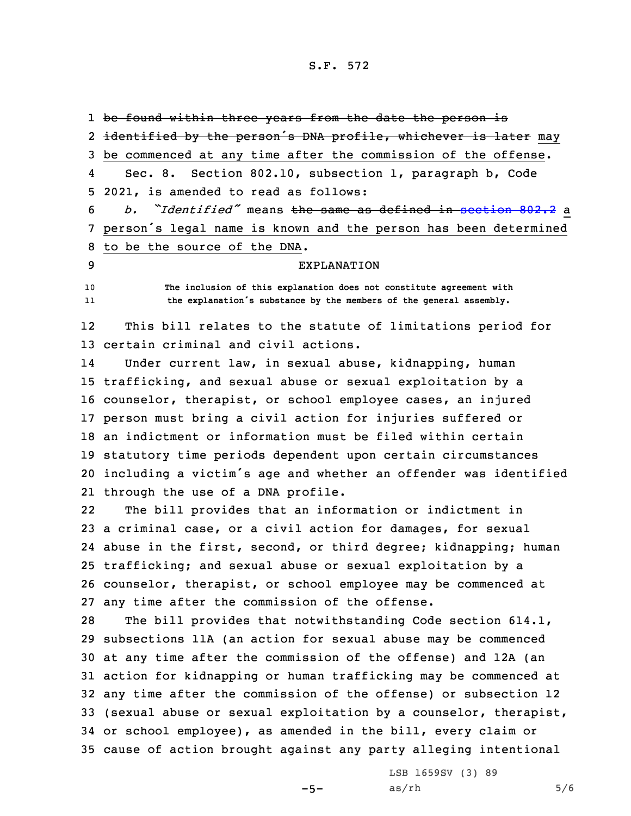1 <del>be found within three years from the date the person is</del>

2 <del>identified by the person's DNA profile, whichever is later</del> may be commenced at any time after the commission of the offense. 4 Sec. 8. Section 802.10, subsection 1, paragraph b, Code 2021, is amended to read as follows: *b. "Identified"* means the same as defined in [section](https://www.legis.iowa.gov/docs/code/2021/802.2.pdf) 802.2 <sup>a</sup> person's legal name is known and the person has been determined to be the source of the DNA. EXPLANATION **The inclusion of this explanation does not constitute agreement with** 11 **the explanation's substance by the members of the general assembly.** 12 This bill relates to the statute of limitations period for certain criminal and civil actions. 14 Under current law, in sexual abuse, kidnapping, human trafficking, and sexual abuse or sexual exploitation by <sup>a</sup> counselor, therapist, or school employee cases, an injured person must bring <sup>a</sup> civil action for injuries suffered or an indictment or information must be filed within certain statutory time periods dependent upon certain circumstances including <sup>a</sup> victim's age and whether an offender was identified through the use of <sup>a</sup> DNA profile. 22 The bill provides that an information or indictment in <sup>a</sup> criminal case, or <sup>a</sup> civil action for damages, for sexual abuse in the first, second, or third degree; kidnapping; human trafficking; and sexual abuse or sexual exploitation by <sup>a</sup> counselor, therapist, or school employee may be commenced at any time after the commission of the offense. The bill provides that notwithstanding Code section 614.1, subsections 11A (an action for sexual abuse may be commenced at any time after the commission of the offense) and 12A (an action for kidnapping or human trafficking may be commenced at any time after the commission of the offense) or subsection 12 (sexual abuse or sexual exploitation by <sup>a</sup> counselor, therapist, or school employee), as amended in the bill, every claim or cause of action brought against any party alleging intentional

 $-5-$ 

LSB 1659SV (3) 89  $as/rh$  5/6